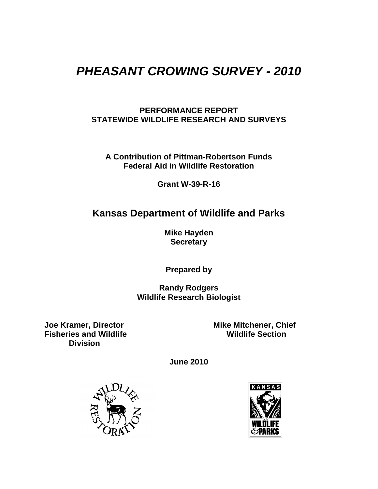## *PHEASANT CROWING SURVEY - 2010*

#### **PERFORMANCE REPORT STATEWIDE WILDLIFE RESEARCH AND SURVEYS**

**A Contribution of Pittman-Robertson Funds Federal Aid in Wildlife Restoration**

**Grant W-39-R-16**

### **Kansas Department of Wildlife and Parks**

**Mike Hayden Secretary**

**Prepared by**

**Randy Rodgers Wildlife Research Biologist**

**Fisheries and Wildlife Division**

**Joe Kramer, Director Mike Mitchener, Chief**<br>Fisheries and Wildlife **Michael Access Mildlife** Section

**June 2010**



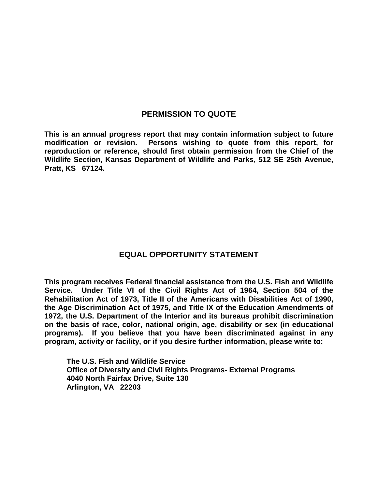#### **PERMISSION TO QUOTE**

**This is an annual progress report that may contain information subject to future modification or revision. Persons wishing to quote from this report, for reproduction or reference, should first obtain permission from the Chief of the Wildlife Section, Kansas Department of Wildlife and Parks, 512 SE 25th Avenue, Pratt, KS 67124.**

#### **EQUAL OPPORTUNITY STATEMENT**

**This program receives Federal financial assistance from the U.S. Fish and Wildlife Service. Under Title VI of the Civil Rights Act of 1964, Section 504 of the Rehabilitation Act of 1973, Title II of the Americans with Disabilities Act of 1990, the Age Discrimination Act of 1975, and Title IX of the Education Amendments of 1972, the U.S. Department of the Interior and its bureaus prohibit discrimination on the basis of race, color, national origin, age, disability or sex (in educational programs). If you believe that you have been discriminated against in any program, activity or facility, or if you desire further information, please write to:**

**The U.S. Fish and Wildlife Service Office of Diversity and Civil Rights Programs- External Programs 4040 North Fairfax Drive, Suite 130 Arlington, VA 22203**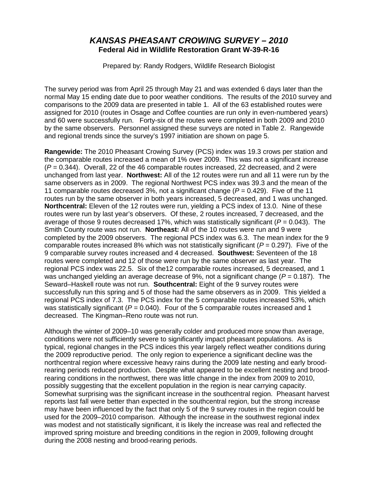#### *KANSAS PHEASANT CROWING SURVEY – 2010* **Federal Aid in Wildlife Restoration Grant W-39-R-16**

Prepared by: Randy Rodgers, Wildlife Research Biologist

The survey period was from April 25 through May 21 and was extended 6 days later than the normal May 15 ending date due to poor weather conditions. The results of the 2010 survey and comparisons to the 2009 data are presented in table 1. All of the 63 established routes were assigned for 2010 (routes in Osage and Coffee counties are run only in even-numbered years) and 60 were successfully run. Forty-six of the routes were completed in both 2009 and 2010 by the same observers. Personnel assigned these surveys are noted in Table 2. Rangewide and regional trends since the survey's 1997 initiation are shown on page 5.

**Rangewide:** The 2010 Pheasant Crowing Survey (PCS) index was 19.3 crows per station and the comparable routes increased a mean of 1% over 2009. This was not a significant increase (*P* = 0.344). Overall, 22 of the 46 comparable routes increased, 22 decreased, and 2 were unchanged from last year. **Northwest:** All of the 12 routes were run and all 11 were run by the same observers as in 2009. The regional Northwest PCS index was 39.3 and the mean of the 11 comparable routes decreased 3%, not a significant change (*P* = 0.429). Five of the 11 routes run by the same observer in both years increased, 5 decreased, and 1 was unchanged. **Northcentral:** Eleven of the 12 routes were run, yielding a PCS index of 13.0. Nine of these routes were run by last year's observers. Of these, 2 routes increased, 7 decreased, and the average of those 9 routes decreased 17%, which was statistically significant (*P* = 0.043). The Smith County route was not run. **Northeast:** All of the 10 routes were run and 9 were completed by the 2009 observers. The regional PCS index was 6.3. The mean index for the 9 comparable routes increased 8% which was not statistically significant  $(P = 0.297)$ . Five of the 9 comparable survey routes increased and 4 decreased. **Southwest:** Seventeen of the 18 routes were completed and 12 of those were run by the same observer as last year. The regional PCS index was 22.5. Six of the12 comparable routes increased, 5 decreased, and 1 was unchanged yielding an average decrease of 9%, not a significant change ( $P = 0.187$ ). The Seward–Haskell route was not run. **Southcentral:** Eight of the 9 survey routes were successfully run this spring and 5 of those had the same observers as in 2009. This yielded a regional PCS index of 7.3. The PCS index for the 5 comparable routes increased 53%, which was statistically significant ( $P = 0.040$ ). Four of the 5 comparable routes increased and 1 decreased. The Kingman–Reno route was not run.

Although the winter of 2009–10 was generally colder and produced more snow than average, conditions were not sufficiently severe to significantly impact pheasant populations. As is typical, regional changes in the PCS indices this year largely reflect weather conditions during the 2009 reproductive period. The only region to experience a significant decline was the northcentral region where excessive heavy rains during the 2009 late nesting and early broodrearing periods reduced production. Despite what appeared to be excellent nesting and broodrearing conditions in the northwest, there was little change in the index from 2009 to 2010, possibly suggesting that the excellent population in the region is near carrying capacity. Somewhat surprising was the significant increase in the southcentral region. Pheasant harvest reports last fall were better than expected in the southcentral region, but the strong increase may have been influenced by the fact that only 5 of the 9 survey routes in the region could be used for the 2009–2010 comparison. Although the increase in the southwest regional index was modest and not statistically significant, it is likely the increase was real and reflected the improved spring moisture and breeding conditions in the region in 2009, following drought during the 2008 nesting and brood-rearing periods.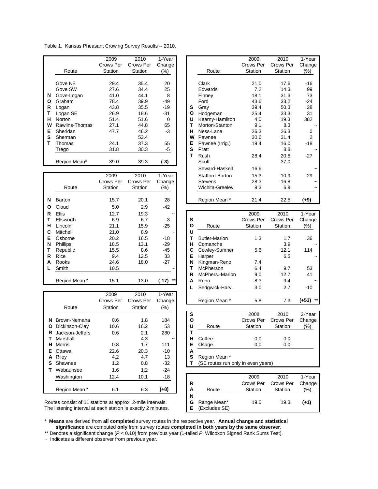Table 1. Kansas Pheasant Crowing Survey Results -- 2010.

|    |                | 2009      | 2010      | 1-Year |   |                 | 2009      | 2010      | 1-Year   |
|----|----------------|-----------|-----------|--------|---|-----------------|-----------|-----------|----------|
|    |                | Crows Per | Crows Per | Change |   |                 | Crows Per | Crows Per | Change   |
|    | Route          | Station   | Station   | (%)    |   | Route           | Station   | Station   | (%)      |
|    |                |           |           |        |   |                 |           |           |          |
|    | Gove NE        | 29.4      | 35.4      | 20     |   | Clark           | 21.0      | 17.6      | $-16$    |
|    | Gove SW        | 27.6      | 34.4      | 25     |   | Edwards         | 7.2       | 14.3      | 99       |
| N  | Gove-Logan     | 41.0      | 44.1      | 8      |   | Finney          | 18.1      | 31.3      | 73       |
| O  | Graham         | 78.4      | 39.9      | $-49$  |   | Ford            | 43.6      | 33.2      | $-24$    |
| R  | Logan          | 43.8      | 35.5      | $-19$  | s | Gray            | 39.4      | 50.3      | 28       |
|    | Logan SE       | 26.9      | 18.6      | $-31$  | O | Hodgeman        | 25.4      | 33.3      | 31       |
| н  | <b>Norton</b>  | 51.4      | 51.6      | 0      | U | Kearny-Hamilton | 4.0       | 19.3      | 382      |
| w  | Rawlins-Thomas | 27.1      | 44.8      | 65     |   | Morton-Stanton  | 9.1       | 8.3       |          |
| E. | Sheridan       | 47.7      | 46.2      | -3     | н | Ness-Lane       | 26.3      | 26.3      | $\Omega$ |
| S  | Sherman        |           | 53.4      |        | w | Pawnee          | 30.6      | 31.4      | 2        |
|    | Thomas         | 24.1      | 37.3      | 55     | Е | Pawnee (Irrig.) | 19.4      | 16.0      | $-18$    |
|    | Trego          | 31.8      | 30.3      | -5     | S | Pratt           |           | 8.8       |          |
|    |                |           |           |        |   | Rush            | 28.4      | 20.8      | $-27$    |
|    | Region Mean*   | 39.0      | 39.3      | (-3)   |   | Scott           |           | 37.0      |          |
|    |                |           |           |        |   | Counced Hookell | ACC       |           |          |

|   |                 | 2009      | 2010      | 1-Year           |              | Stafford-Barton      | 15.3      | 10.9      | $-29$  |
|---|-----------------|-----------|-----------|------------------|--------------|----------------------|-----------|-----------|--------|
|   |                 | Crows Per | Crows Per | Change           |              | <b>Stevens</b>       | 28.3      | 16.8      | ~      |
|   | Route           | Station   | Station   | (%)              |              | Wichita-Greeley      | 9.3       | 6.9       | ~      |
| N | Barton          | 15.7      | 20.1      | 28               |              | Region Mean *        | 21.4      | 22.5      | (+9)   |
| O | Cloud           | 5.0       | 2.9       | -42              |              |                      |           |           |        |
| R | Ellis           | 12.7      | 19.3      | $\tilde{}$       |              |                      | 2009      | 2010      | 1-Year |
|   | Ellsworth       | 6.9       | 6.7       | $-3$             | s            |                      | Crows Per | Crows Per | Change |
| н | Lincoln         | 21.1      | 15.9      | $-25$            | $\mathbf{o}$ | Route                | Station   | Station   | $(\%)$ |
| С | Mitchell        | 21.0      | 8.9       | $\tilde{}$       | U            |                      |           |           |        |
| Е | Osborne         | 20.2      | 16.5      | $-18$            | т            | <b>Butler-Marion</b> | 1.3       | 1.7       | 36     |
| N | <b>Phillips</b> | 18.5      | 13.1      | $-29$            | н            | Comanche             |           | 3.9       |        |
|   | Republic        | 15.5      | 8.6       | -45              | С            | Cowley-Sumner        | 5.6       | 12.1      | 114    |
| R | Rice            | 9.4       | 12.5      | 33               | Е            | Harper               |           | 6.5       |        |
| A | Rooks           | 24.6      | 18.0      | $-27$            | N            | Kingman-Reno         | 7.4       |           |        |
|   | Smith           | 10.5      |           |                  | т            | McPherson            | 6.4       | 9.7       | 53     |
|   |                 |           |           |                  | R            | McPhers.-Marion      | 9.0       | 12.7      | 41     |
|   | Region Mean *   | 15.1      | 13.0      | $***$<br>$(-17)$ | A            | Reno                 | 8.3       | 9.4       |        |

|    |                  | 2009      | 2010      | 1-Year     |   |                                    |           |           |         |
|----|------------------|-----------|-----------|------------|---|------------------------------------|-----------|-----------|---------|
|    |                  | Crows Per | Crows Per | Change     |   | Region Mean *                      | 5.8       | 7.3       | (+53) * |
|    | Route            | Station   | Station   | (%)        |   |                                    |           |           |         |
|    |                  |           |           |            | s |                                    | 2008      | 2010      | 2-Year  |
| N  | Brown-Nemaha     | 0.6       | 1.8       | 184        | O |                                    | Crows Per | Crows Per | Change  |
| O  | Dickinson-Clay   | 10.6      | 16.2      | 53         | U | Route                              | Station   | Station   | $(\%)$  |
| R  | Jackson-Jeffers. | 0.6       | 2.1       | 280        | т |                                    |           |           |         |
|    | Marshall         |           | 4.3       | $\tilde{}$ | н | Coffee                             | 0.0       | 0.0       |         |
| н  | Morris           | 0.8       | 1.7       | 111        | Е | Osage                              | 0.0       | 0.0       |         |
| F. | Ottawa           | 22.6      | 20.3      | $-10$      | A |                                    |           |           |         |
| A  | Riley            | 4.2       | 4.7       | 13         | s | Region Mean *                      |           |           |         |
| s  | Shawnee          | 1.2       | 0.8       | $-32$      |   | (SE routes run only in even years) |           |           |         |
|    | Wabaunsee        | 1.6       | 1.2       | $-24$      |   |                                    |           |           |         |
|    | Washington       | 12.4      | 10.1      | $-18$      |   |                                    | 2009      | 2010      | 1-Year  |
|    |                  |           |           |            | R |                                    | Crows Per | Crows Per | Change  |
|    | Region Mean *    | 6.1       | 6.3       | (+8)       | A | Route                              | Station   | Station   | (%)     |

|                | 2009      | 2010      | 1-Year   |   |                 | 2009      | 2010      | 1-Year                |
|----------------|-----------|-----------|----------|---|-----------------|-----------|-----------|-----------------------|
|                | Crows Per | Crows Per | Change   |   |                 | Crows Per | Crows Per | Change                |
| Route          | Station   | Station   | (%)      |   | Route           | Station   | Station   | (%)                   |
|                |           |           |          |   |                 |           |           |                       |
| Gove NE        | 29.4      | 35.4      | 20       |   | Clark           | 21.0      | 17.6      | -16                   |
| Gove SW        | 27.6      | 34.4      | 25       |   | Edwards         | 7.2       | 14.3      | 99                    |
| Gove-Logan     | 41.0      | 44.1      | 8        |   | Finney          | 18.1      | 31.3      | 73                    |
| Graham         | 78.4      | 39.9      | -49      |   | Ford            | 43.6      | 33.2      | -24                   |
| Logan          | 43.8      | 35.5      | $-19$    | s | Gray            | 39.4      | 50.3      | 28                    |
| Logan SE       | 26.9      | 18.6      | -31      | O | Hodgeman        | 25.4      | 33.3      | 31                    |
| Norton         | 51.4      | 51.6      | $\Omega$ | U | Kearny-Hamilton | 4.0       | 19.3      | 382                   |
| Rawlins-Thomas | 27.1      | 44.8      | 65       | т | Morton-Stanton  | 9.1       | 8.3       |                       |
| Sheridan       | 47.7      | 46.2      | $-3$     | н | Ness-Lane       | 26.3      | 26.3      | 0                     |
| Sherman        |           | 53.4      |          | W | Pawnee          | 30.6      | 31.4      | 2                     |
| Thomas         | 24.1      | 37.3      | 55       | Е | Pawnee (Irrig.) | 19.4      | 16.0      | -18                   |
| Trego          | 31.8      | 30.3      | -5       | S | Pratt           |           | 8.8       |                       |
|                |           |           |          | т | Rush            | 28.4      | 20.8      | $-27$                 |
| Region Mean*   | 39.0      | 39.3      | $(-3)$   |   | Scott           |           | 37.0      |                       |
|                |           |           |          |   | Seward-Haskell  | 16.6      |           |                       |
|                | 2009      | 2010      | 1-Year   |   | Stafford-Barton | 15.3      | 10.9      | $-29$                 |
|                | Crows Per | Crows Per | Change   |   | <b>Stevens</b>  | 28.3      | 16.8      | $\tilde{\phantom{a}}$ |
| Route          | Station   | Station   | (%)      |   | Wichita-Greeley | 9.3       | 6.9       |                       |
|                |           |           |          |   |                 |           |           |                       |
| Barton         | 15.7      | 20.1      | 28       |   | Region Mean *   | 21.4      | 22.5      | (+9)                  |

| <b>Ellis</b> | 12.7      | 19.3      | $\tilde{}$       |   |                      | 2009      | 2010                                              | 1-Year |
|--------------|-----------|-----------|------------------|---|----------------------|-----------|---------------------------------------------------|--------|
| Ellsworth    | 6.9       | 6.7       | -3               | s |                      | Crows Per | Crows Per                                         | Change |
| Lincoln      | 21.1      | 15.9      | $-25$            | O | Route                | Station   | Station                                           |        |
| Mitchell     | 21.0      | 8.9       | $\tilde{}$       | U |                      |           |                                                   |        |
| Osborne      | 20.2      | 16.5      | $-18$            |   | <b>Butler-Marion</b> | 1.3       | 1.7                                               | 36     |
| Phillips     | 18.5      | 13.1      | $-29$            | н | Comanche             |           | 3.9                                               |        |
| Republic     | 15.5      | 8.6       | $-45$            | С | Cowley-Sumner        | 5.6       | 12.1                                              | 114    |
| Rice         | 9.4       | 12.5      | 33               | E | Harper               |           | 6.5                                               |        |
| Rooks        | 24.6      | 18.0      | $-27$            | N | Kingman-Reno         | 7.4       |                                                   |        |
| Smith        | 10.5      |           | $\tilde{}$       |   | McPherson            | 6.4       | 9.7                                               | 53     |
|              |           |           |                  | R | McPhers.-Marion      | 9.0       | 12.7                                              | 41     |
| Region Mean* | 15.1      | 13.0      | $***$<br>$(-17)$ | A | Reno                 | 8.3       | (%)<br>9.4<br>2.7<br>-10<br>$***$<br>(+53)<br>7.3 |        |
|              |           |           |                  |   | Sedgwick-Harv.       | 3.0       |                                                   |        |
|              | 2009      | 2010      | 1-Year           |   |                      |           |                                                   |        |
|              | Crows Per | Crows Per | Change           |   | Region Mean *        | 5.8       |                                                   |        |

| s |         | 2008    | 2010                | 2-Year  |
|---|---------|---------|---------------------|---------|
| О |         |         | Crows Per Crows Per | Change  |
| U | Route   | Station | Station             | $(\% )$ |
|   |         |         |                     |         |
| н | Coffee  | 0.0     | 0.0                 |         |
| Е | Osage   | 0.0     | 0.0                 |         |
| А |         |         |                     |         |
| ົ | $D = 1$ |         |                     |         |

| $\cdots$                                                | $\cdots$ | $\overline{\phantom{a}}$ |      |   |               |           |           |        |
|---------------------------------------------------------|----------|--------------------------|------|---|---------------|-----------|-----------|--------|
| Washington                                              | 12.4     | 10.1                     | -18  |   |               | 2009      | 2010      | 1-Year |
|                                                         |          |                          |      | R |               | Crows Per | Crows Per | Change |
| Region Mean *                                           | 6.1      | 6.3                      | '+8) | A | Route         | Station   | Station   | (%)    |
|                                                         |          |                          |      | N |               |           |           |        |
| es consist of 11 stations at approx. 2-mile intervals.  |          |                          |      | G | Range Mean*   | 19.0      | 19.3      | (+1)   |
| istening interval at each station is exactly 2 minutes. |          |                          |      |   | (Excludes SE) |           |           |        |

Routes consist of 11 stations at approx. 2-mile intervals. The listening interval at each station is exactly 2 minutes.

\* **Means** are derived from **all completed** survey routes in the respective year. **Annual change and statistical significance** are computed **only** from survey routes **completed in both years by the same observer**.

\*\* Denotes a significant change (*P* < 0.10) from previous year (1-tailed *P*, Wilcoxon Signed Rank Sums Test).

~ Indicates a different observer from previous year.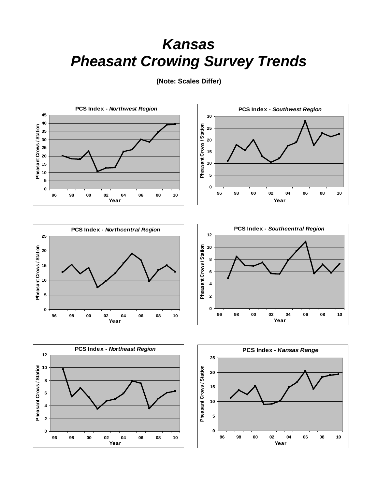# *Kansas Pheasant Crowing Survey Trends*



**(Note: Scales Differ)**